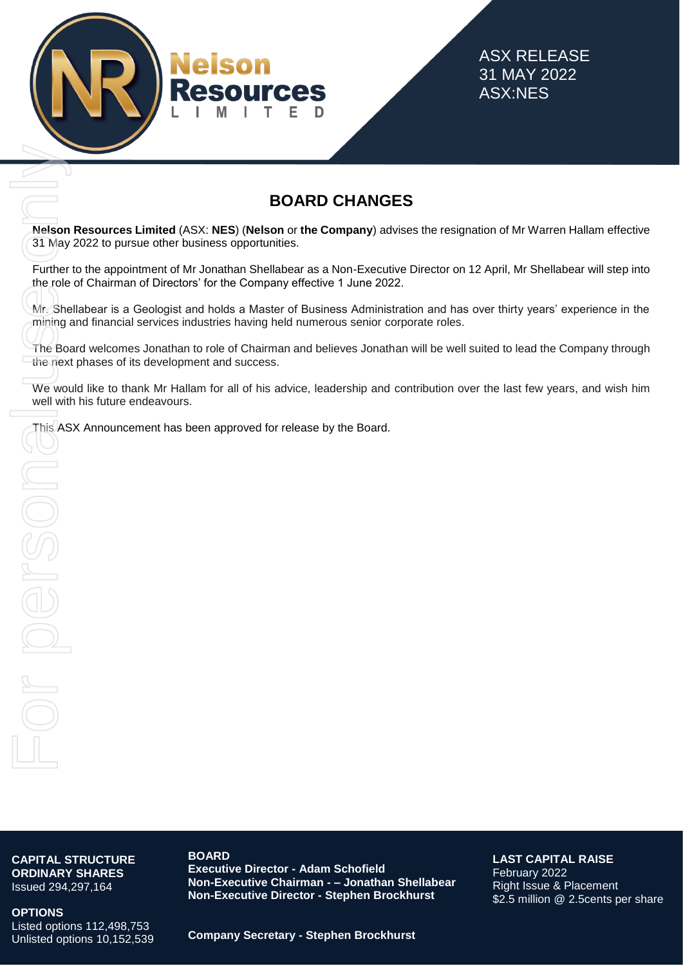

ASX RELEASE 31 MAY 2022 ASX:NES

# **BOARD CHANGES**

**Nelson Resources Limited** (ASX: **NES**) (**Nelson** or **the Company**) advises the resignation of Mr Warren Hallam effective 31 May 2022 to pursue other business opportunities.

Further to the appointment of Mr Jonathan Shellabear as a Non-Executive Director on 12 April, Mr Shellabear will step into the role of Chairman of Directors' for the Company effective 1 June 2022.

Mr. Shellabear is a Geologist and holds a Master of Business Administration and has over thirty years' experience in the mining and financial services industries having held numerous senior corporate roles.

The Board welcomes Jonathan to role of Chairman and believes Jonathan will be well suited to lead the Company through the next phases of its development and success. **The Mathematical CASY: NES) (Nelson or the Company)** actions of May 2022 to pursue other business opportunities.<br>Further to the appointment of Mr Jonathan Shellabear as a Non-Executive release to for Chairman of Directors

We would like to thank Mr Hallam for all of his advice, leadership and contribution over the last few years, and wish him well with his future endeavours.

**CAPITAL STRUCTURE ORDINARY SHARES** Issued 294,297,164

**OPTIONS**

Listed options 112,498,753 Unlisted options 10,152,539

**BOARD Executive Director - Adam Schofield Non-Executive Chairman - – Jonathan Shellabear Non-Executive Director - Stephen Brockhurst**

**LAST CAPITAL RAISE** February 2022 Right Issue & Placement \$2.5 million @ 2.5cents per share

**Company Secretary - Stephen Brockhurst**